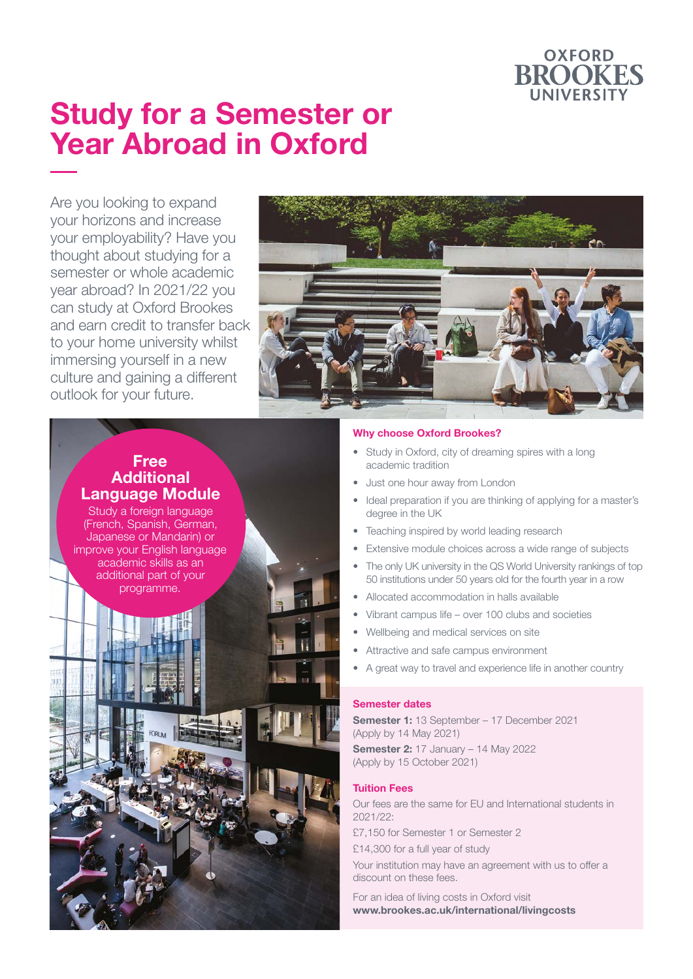

## **Study for a Semester or Year Abroad in Oxford**

Are you looking to expand your horizons and increase your employability? Have you thought about studying for a semester or whole academic year abroad? In 2021/22 you can study at Oxford Brookes and earn credit to transfer back to your home university whilst immersing yourself in a new culture and gaining a different outlook for your future.



## **Free Additional Language Module**

Study a foreign language (French, Spanish, German, Japanese or Mandarin) or improve your English language academic skills as an additional part of your programme.

### **Why choose Oxford Brookes?**

- Study in Oxford, city of dreaming spires with a long academic tradition
- Just one hour away from London
- Ideal preparation if you are thinking of applying for a master's degree in the UK
- Teaching inspired by world leading research
- Extensive module choices across a wide range of subjects
- The only UK university in the QS World University rankings of top 50 institutions under 50 years old for the fourth year in a row
- Allocated accommodation in halls available
- Vibrant campus life over 100 clubs and societies
- Wellbeing and medical services on site
- Attractive and safe campus environment
- A great way to travel and experience life in another country

### **Semester dates**

**Semester 1:** 13 September – 17 December 2021 (Apply by 14 May 2021)

**Semester 2:** 17 January - 14 May 2022 (Apply by 15 October 2021)

### **Tuition Fees**

Our fees are the same for EU and International students in 2021/22:

£7,150 for Semester 1 or Semester 2

£14,300 for a full year of study

Your institution may have an agreement with us to offer a discount on these fees.

For an idea of living costs in Oxford visit **www.brookes.ac.uk/international/livingcosts**